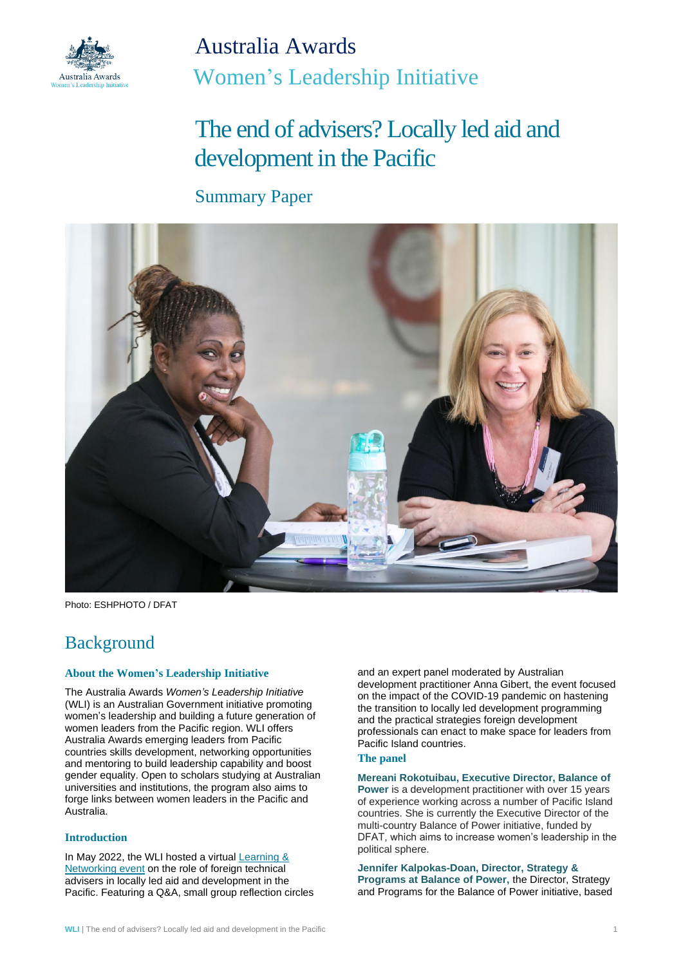

Australia Awards Women's Leadership Initiative

# The end of advisers? Locally led aid and development in the Pacific

### Summary Paper



Photo: ESHPHOTO / DFAT

## Background

#### **About the Women's Leadership Initiative**

The Australia Awards *Women's Leadership Initiative* (WLI) is an Australian Government initiative promoting women's leadership and building a future generation of women leaders from the Pacific region. WLI offers Australia Awards emerging leaders from Pacific countries skills development, networking opportunities and mentoring to build leadership capability and boost gender equality. Open to scholars studying at Australian universities and institutions, the program also aims to forge links between women leaders in the Pacific and Australia.

#### **Introduction**

In May 2022, the WLI hosted a virtual Learning & [Networking event](https://womensleadershipinitiative.org.au/learning-and-networking-events/) on the role of foreign technical advisers in locally led aid and development in the Pacific. Featuring a Q&A, small group reflection circles and an expert panel moderated by Australian development practitioner Anna Gibert, the event focused on the impact of the COVID-19 pandemic on hastening the transition to locally led development programming and the practical strategies foreign development professionals can enact to make space for leaders from Pacific Island countries.

#### **The panel**

**Mereani Rokotuibau, Executive Director, Balance of** 

**Power** is a development practitioner with over 15 years of experience working across a number of Pacific Island countries. She is currently the Executive Director of the multi-country Balance of Power initiative, funded by DFAT, which aims to increase women's leadership in the political sphere.

**Jennifer Kalpokas-Doan, Director, Strategy & Programs at Balance of Power,** the Director, Strategy and Programs for the Balance of Power initiative, based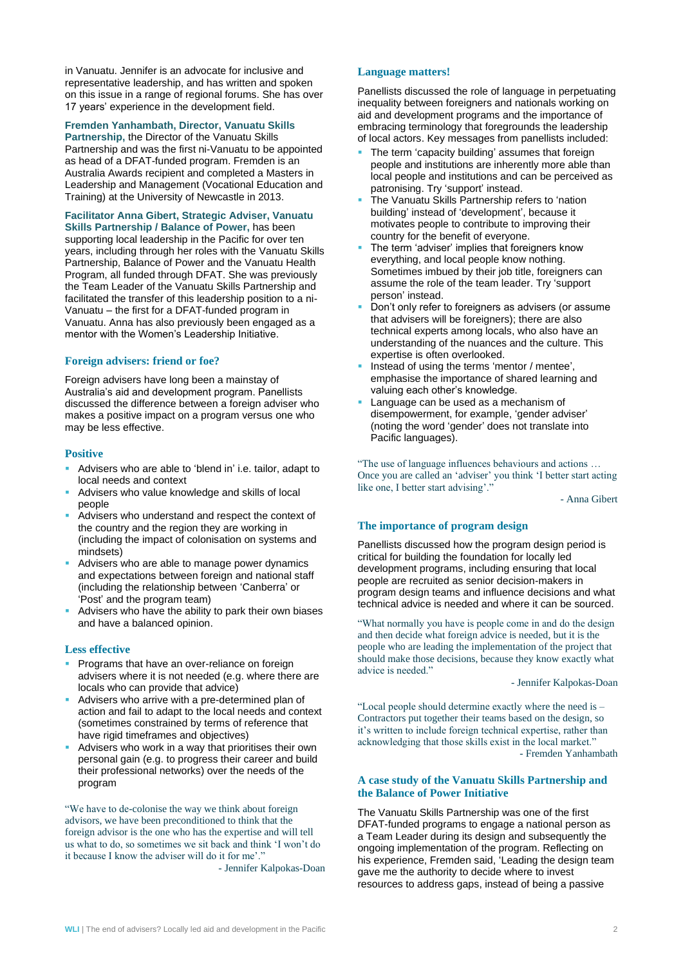in Vanuatu. Jennifer is an advocate for inclusive and representative leadership, and has written and spoken on this issue in a range of regional forums. She has over 17 years' experience in the development field.

**Fremden Yanhambath, Director, Vanuatu Skills** 

**Partnership,** the Director of the Vanuatu Skills Partnership and was the first ni-Vanuatu to be appointed as head of a DFAT-funded program. Fremden is an Australia Awards recipient and completed a Masters in Leadership and Management (Vocational Education and Training) at the University of Newcastle in 2013.

**Facilitator Anna Gibert, Strategic Adviser, Vanuatu Skills Partnership / Balance of Power,** has been supporting local leadership in the Pacific for over ten years, including through her roles with the Vanuatu Skills Partnership, Balance of Power and the Vanuatu Health Program, all funded through DFAT. She was previously the Team Leader of the Vanuatu Skills Partnership and facilitated the transfer of this leadership position to a ni-Vanuatu – the first for a DFAT-funded program in Vanuatu. Anna has also previously been engaged as a mentor with the Women's Leadership Initiative.

#### **Foreign advisers: friend or foe?**

Foreign advisers have long been a mainstay of Australia's aid and development program. Panellists discussed the difference between a foreign adviser who makes a positive impact on a program versus one who may be less effective.

#### **Positive**

- Advisers who are able to 'blend in' i.e. tailor, adapt to local needs and context
- Advisers who value knowledge and skills of local people
- Advisers who understand and respect the context of the country and the region they are working in (including the impact of colonisation on systems and mindsets)
- Advisers who are able to manage power dynamics and expectations between foreign and national staff (including the relationship between 'Canberra' or 'Post' and the program team)
- Advisers who have the ability to park their own biases and have a balanced opinion.

#### **Less effective**

- **Programs that have an over-reliance on foreign** advisers where it is not needed (e.g. where there are locals who can provide that advice)
- Advisers who arrive with a pre-determined plan of action and fail to adapt to the local needs and context (sometimes constrained by terms of reference that have rigid timeframes and objectives)
- Advisers who work in a way that prioritises their own personal gain (e.g. to progress their career and build their professional networks) over the needs of the program

"We have to de-colonise the way we think about foreign advisors, we have been preconditioned to think that the foreign advisor is the one who has the expertise and will tell us what to do, so sometimes we sit back and think 'I won't do it because I know the adviser will do it for me'."

- Jennifer Kalpokas-Doan

#### **Language matters!**

Panellists discussed the role of language in perpetuating inequality between foreigners and nationals working on aid and development programs and the importance of embracing terminology that foregrounds the leadership of local actors. Key messages from panellists included:

- The term 'capacity building' assumes that foreign people and institutions are inherently more able than local people and institutions and can be perceived as patronising. Try 'support' instead.
- The Vanuatu Skills Partnership refers to 'nation building' instead of 'development', because it motivates people to contribute to improving their country for the benefit of everyone.
- The term 'adviser' implies that foreigners know everything, and local people know nothing. Sometimes imbued by their job title, foreigners can assume the role of the team leader. Try 'support person' instead.
- **Don't only refer to foreigners as advisers (or assume** that advisers will be foreigners); there are also technical experts among locals, who also have an understanding of the nuances and the culture. This expertise is often overlooked.
- Instead of using the terms 'mentor / mentee', emphasise the importance of shared learning and valuing each other's knowledge.
- Language can be used as a mechanism of disempowerment, for example, 'gender adviser' (noting the word 'gender' does not translate into Pacific languages).

"The use of language influences behaviours and actions … Once you are called an 'adviser' you think 'I better start acting like one, I better start advising'."

- Anna Gibert

#### **The importance of program design**

Panellists discussed how the program design period is critical for building the foundation for locally led development programs, including ensuring that local people are recruited as senior decision-makers in program design teams and influence decisions and what technical advice is needed and where it can be sourced.

"What normally you have is people come in and do the design and then decide what foreign advice is needed, but it is the people who are leading the implementation of the project that should make those decisions, because they know exactly what advice is needed."

- Jennifer Kalpokas-Doan

"Local people should determine exactly where the need is – Contractors put together their teams based on the design, so it's written to include foreign technical expertise, rather than acknowledging that those skills exist in the local market." - Fremden Yanhambath

#### **A case study of the Vanuatu Skills Partnership and the Balance of Power Initiative**

The Vanuatu Skills Partnership was one of the first DFAT-funded programs to engage a national person as a Team Leader during its design and subsequently the ongoing implementation of the program. Reflecting on his experience, Fremden said, 'Leading the design team gave me the authority to decide where to invest resources to address gaps, instead of being a passive